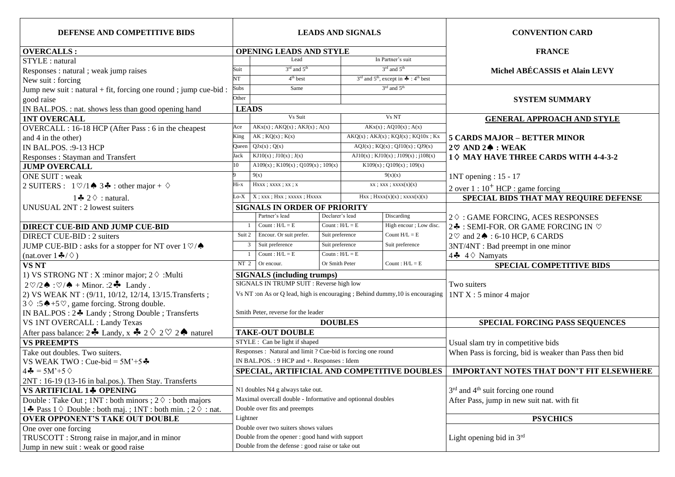| DEFENSE AND COMPETITIVE BIDS                                                         | <b>LEADS AND SIGNALS</b>                        |                                                                               |                 |                                                                                    |                                            | <b>CONVENTION CARD</b>                                     |
|--------------------------------------------------------------------------------------|-------------------------------------------------|-------------------------------------------------------------------------------|-----------------|------------------------------------------------------------------------------------|--------------------------------------------|------------------------------------------------------------|
| <b>OVERCALLS:</b>                                                                    | <b>OPENING LEADS AND STYLE</b>                  |                                                                               |                 |                                                                                    |                                            | <b>FRANCE</b>                                              |
| STYLE : natural                                                                      |                                                 | Lead                                                                          |                 | In Partner's suit                                                                  |                                            |                                                            |
| Responses : natural ; weak jump raises                                               | Suit                                            | $3rd$ and $5th$                                                               |                 | $3rd$ and $5th$                                                                    |                                            | Michel ABÉCASSIS et Alain LEVY                             |
| New suit: forcing                                                                    | NT                                              | $4th$ best                                                                    |                 | $3^{\text{rd}}$ and $5^{\text{th}}$ , except in $\clubsuit$ : 4 <sup>th</sup> best |                                            |                                                            |
| Jump new suit : natural + fit, forcing one round ; jump cue-bid :                    | Subs                                            | Same                                                                          |                 |                                                                                    | $3rd$ and $5th$                            |                                                            |
| good raise                                                                           | Other                                           |                                                                               |                 |                                                                                    |                                            | <b>SYSTEM SUMMARY</b>                                      |
| IN BAL.POS.: nat. shows less than good opening hand                                  | <b>LEADS</b>                                    |                                                                               |                 |                                                                                    |                                            |                                                            |
| <b>INT OVERCALL</b>                                                                  |                                                 | Vs Suit<br>Vs NT                                                              |                 |                                                                                    | <b>GENERAL APPROACH AND STYLE</b>          |                                                            |
| OVERCALL : 16-18 HCP (After Pass : 6 in the cheapest                                 | Ace                                             | $AKx(x)$ ; $AKQ(x)$ ; $AKJ(x)$ ; $A(x)$                                       |                 | $AKx(x)$ ; $AQ10(x)$ ; $A(x)$                                                      |                                            |                                                            |
| and 4 in the other)                                                                  | King                                            | $AK$ ; $KQ(x)$ ; $K(x)$                                                       |                 | $AKQ(x)$ ; $AKJ(x)$ ; $KQJ(x)$ ; $KQ10x$ ; $Kx$                                    |                                            | 5 CARDS MAJOR - BETTER MINOR                               |
| IN BAL.POS. : 9-13 HCP                                                               | Queen                                           | QJx(x); Q(x)                                                                  |                 | $AQJ(x)$ ; $KQ(x)$ ; $QJ10(x)$ ; $QJ9(x)$                                          |                                            | $2\heartsuit$ AND $2\spadesuit$ : WEAK                     |
| Responses: Stayman and Transfert                                                     | Jack                                            | $KJ10(x)$ ; $J10(x)$ ; $J(x)$                                                 |                 | $AJ10(x)$ ; $KJ10(x)$ ; $J109(x)$ ; $j108(x)$                                      |                                            | 1 $\diamond$ MAY HAVE THREE CARDS WITH 4-4-3-2             |
| <b>JUMP OVERCALL</b>                                                                 | 10                                              | $A109(x)$ ; $K109(x)$ ; $Q109(x)$ ; $109(x)$                                  |                 | $K109(x)$ ; Q109(x); 109(x)                                                        |                                            |                                                            |
| <b>ONE SUIT: weak</b>                                                                |                                                 | 9(x)                                                                          |                 | 9(x)(x)                                                                            |                                            | 1NT opening : 15 - 17                                      |
| 2 SUITERS : $1 \heartsuit / 1 \spadesuit 3 \clubsuit$ : other major + $\diamondsuit$ | Hi-x                                            | Hxxx : XXX : XXX : xx : x                                                     |                 |                                                                                    | $xx$ ; $xxx$ ; $xxxx(x)(x)$                | 2 over $1:10^+$ HCP : game forcing                         |
| 1 $\clubsuit$ 2 $\diamond$ : natural.                                                | $_{\rm Lo-X}$                                   | $X$ ; xxx; $Hxx$ ; xxxxx; $Hxxxx$                                             |                 | $Hxx$ ; $Hxxx(x)(x)$ ; $xxxx(x)(x)$                                                |                                            | SPECIAL BIDS THAT MAY REQUIRE DEFENSE                      |
| UNUSUAL 2NT : 2 lowest suiters                                                       |                                                 | <b>SIGNALS IN ORDER OF PRIORITY</b>                                           |                 |                                                                                    |                                            |                                                            |
|                                                                                      |                                                 | Partner's lead<br>Declarer's lead<br>Discarding                               |                 |                                                                                    | $2\diamond$ : GAME FORCING, ACES RESPONSES |                                                            |
| <b>DIRECT CUE-BID AND JUMP CUE-BID</b>                                               |                                                 | Count: $H/L = E$                                                              |                 | Count: $H/L = E$                                                                   | High encour ; Low disc.                    | 2♣ : SEMI-FOR. OR GAME FORCING IN ♡                        |
| DIRECT CUE-BID : 2 suiters                                                           | Suit 2                                          | Encour. Or suit prefer.                                                       | Suit preference |                                                                                    | Count $H/L = E$                            | $2\degree$ and $2\spadesuit$ : 6-10 HCP, 6 CARDS           |
| JUMP CUE-BID : asks for a stopper for NT over $1\degree\%$                           | $\mathbf{3}$                                    | Suit preference<br>Suit preference                                            |                 |                                                                                    | Suit preference                            | 3NT/4NT : Bad preempt in one minor                         |
| (nat.over $1\clubsuit/\diamondsuit$ )                                                |                                                 | Count: $H/L = E$                                                              |                 | Coutn : $H/L = E$                                                                  |                                            | 4 $4 \lozenge$ A Namyats                                   |
| <b>VS NT</b>                                                                         | NT <sub>2</sub>                                 | Or encour.                                                                    | Or Smith Peter  |                                                                                    | Count: $H/L = E$                           | <b>SPECIAL COMPETITIVE BIDS</b>                            |
| 1) VS STRONG NT : X : minor major; $2 \Diamond$ : Multi                              |                                                 | <b>SIGNALS</b> (including trumps)                                             |                 |                                                                                    |                                            |                                                            |
| $2\sqrt[{\infty}]{2}$ : $\sqrt[{\infty}]{4}$ + Minor. : $2\sqrt[{\infty}]{2}$ Landy. |                                                 | SIGNALS IN TRUMP SUIT : Reverse high low                                      |                 |                                                                                    |                                            | Two suiters                                                |
| 2) VS WEAK NT: (9/11, 10/12, 12/14, 13/15. Transferts;                               |                                                 | Vs NT :on As or Q lead, high is encouraging ; Behind dummy, 10 is encouraging |                 |                                                                                    |                                            | 1NTX: 5 minor 4 major                                      |
| $3 \diamond 15 \rightarrow +5 \heartsuit$ , game forcing. Strong double.             |                                                 |                                                                               |                 |                                                                                    |                                            |                                                            |
| IN BAL.POS : 2♣ Landy ; Strong Double ; Transferts                                   |                                                 | Smith Peter, reverse for the leader                                           |                 |                                                                                    |                                            |                                                            |
| VS 1NT OVERCALL : Landy Texas                                                        |                                                 |                                                                               | <b>DOUBLES</b>  |                                                                                    |                                            | SPECIAL FORCING PASS SEQUENCES                             |
|                                                                                      |                                                 | <b>TAKE-OUT DOUBLE</b>                                                        |                 |                                                                                    |                                            |                                                            |
| <b>VS PREEMPTS</b>                                                                   |                                                 | STYLE : Can be light if shaped                                                |                 |                                                                                    |                                            | Usual slam try in competitive bids                         |
| Take out doubles. Two suiters.                                                       |                                                 | Responses: Natural and limit ? Cue-bid is forcing one round                   |                 |                                                                                    |                                            | When Pass is forcing, bid is weaker than Pass then bid     |
| VS WEAK TWO: Cue-bid = $5M^2+5$ $\clubsuit$                                          |                                                 | IN BAL.POS.: 9 HCP and +. Responses: Idem                                     |                 |                                                                                    |                                            |                                                            |
| $4\clubsuit = 5M'+5$                                                                 |                                                 | SPECIAL, ARTIFICIAL AND COMPETITIVE DOUBLES                                   |                 |                                                                                    |                                            | <b>IMPORTANT NOTES THAT DON'T FIT ELSEWHERE</b>            |
| 2NT: 16-19 (13-16 in bal.pos.). Then Stay. Transferts                                |                                                 |                                                                               |                 |                                                                                    |                                            |                                                            |
| VS ARTIFICIAL 1+ OPENING                                                             |                                                 | N1 doubles N4 g always take out.                                              |                 |                                                                                    |                                            | 3 <sup>rd</sup> and 4 <sup>th</sup> suit forcing one round |
| Double : Take Out ; $1NT : both minors ; 2 0 : both majors$                          |                                                 | Maximal overcall double - Informative and optionnal doubles                   |                 |                                                                                    |                                            | After Pass, jump in new suit nat. with fit                 |
| 1 A Pass $1 \Diamond$ Double : both maj.; 1NT : both min.; 2 $\diamond$ : nat.       |                                                 | Double over fits and preempts                                                 |                 |                                                                                    |                                            |                                                            |
| <b>OVER OPPONENT'S TAKE OUT DOUBLE</b>                                               | Lightner                                        |                                                                               |                 |                                                                                    |                                            | <b>PSYCHICS</b>                                            |
| One over one forcing                                                                 | Double over two suiters shows values            |                                                                               |                 |                                                                                    |                                            |                                                            |
| TRUSCOTT : Strong raise in major, and in minor                                       | Double from the opener : good hand with support |                                                                               |                 |                                                                                    |                                            | Light opening bid in $3rd$                                 |
| Jump in new suit : weak or good raise                                                |                                                 | Double from the defense : good raise or take out                              |                 |                                                                                    |                                            |                                                            |